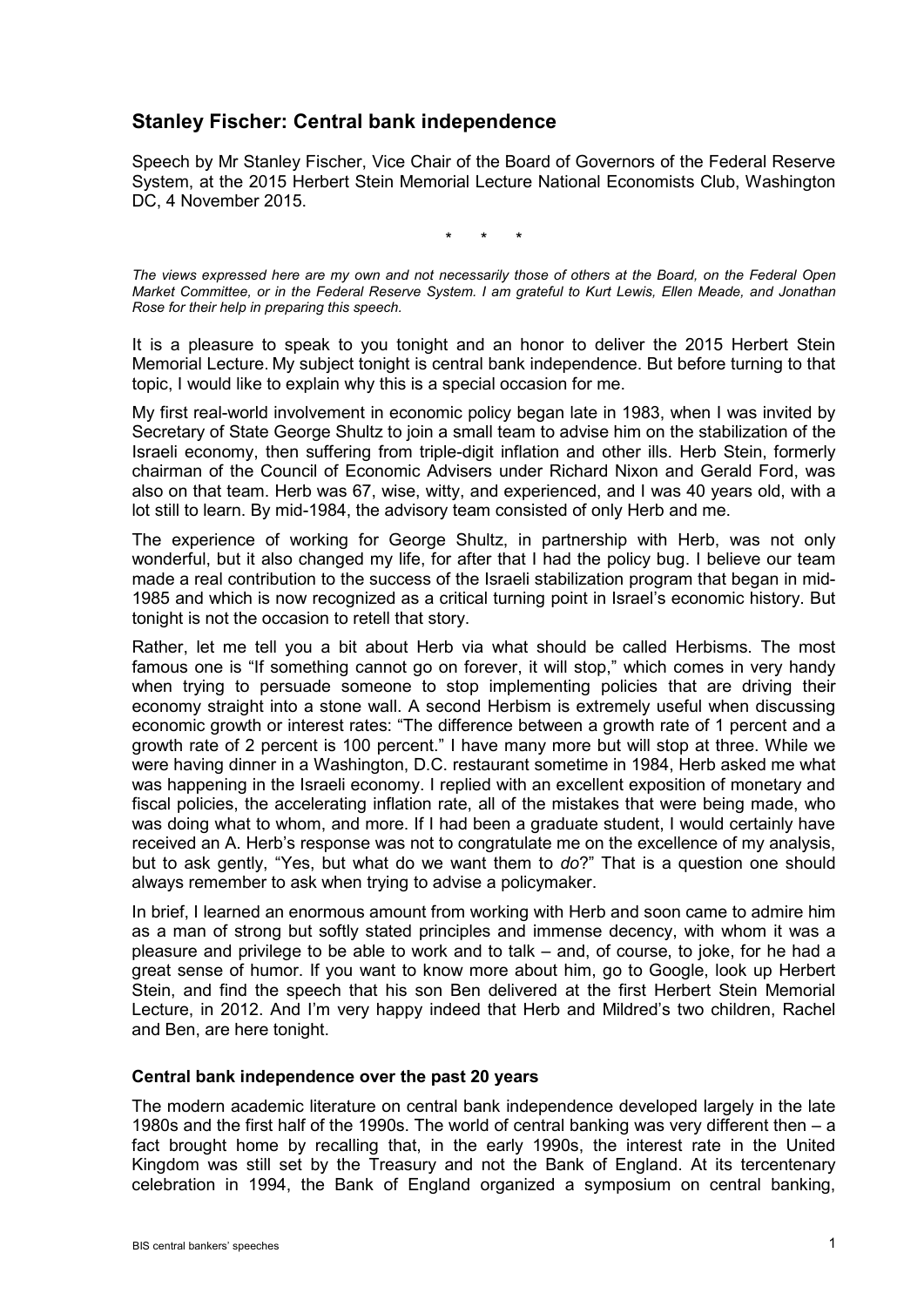# **Stanley Fischer: Central bank independence**

Speech by Mr Stanley Fischer, Vice Chair of the Board of Governors of the Federal Reserve System, at the 2015 Herbert Stein Memorial Lecture National Economists Club, Washington DC, 4 November 2015.

\* \* \*

*The views expressed here are my own and not necessarily those of others at the Board, on the Federal Open Market Committee, or in the Federal Reserve System. I am grateful to Kurt Lewis, Ellen Meade, and Jonathan Rose for their help in preparing this speech.*

It is a pleasure to speak to you tonight and an honor to deliver the 2015 Herbert Stein Memorial Lecture. My subject tonight is central bank independence. But before turning to that topic, I would like to explain why this is a special occasion for me.

My first real-world involvement in economic policy began late in 1983, when I was invited by Secretary of State George Shultz to join a small team to advise him on the stabilization of the Israeli economy, then suffering from triple-digit inflation and other ills. Herb Stein, formerly chairman of the Council of Economic Advisers under Richard Nixon and Gerald Ford, was also on that team. Herb was 67, wise, witty, and experienced, and I was 40 years old, with a lot still to learn. By mid-1984, the advisory team consisted of only Herb and me.

The experience of working for George Shultz, in partnership with Herb, was not only wonderful, but it also changed my life, for after that I had the policy bug. I believe our team made a real contribution to the success of the Israeli stabilization program that began in mid-1985 and which is now recognized as a critical turning point in Israel's economic history. But tonight is not the occasion to retell that story.

Rather, let me tell you a bit about Herb via what should be called Herbisms. The most famous one is "If something cannot go on forever, it will stop," which comes in very handy when trying to persuade someone to stop implementing policies that are driving their economy straight into a stone wall. A second Herbism is extremely useful when discussing economic growth or interest rates: "The difference between a growth rate of 1 percent and a growth rate of 2 percent is 100 percent." I have many more but will stop at three. While we were having dinner in a Washington, D.C. restaurant sometime in 1984, Herb asked me what was happening in the Israeli economy. I replied with an excellent exposition of monetary and fiscal policies, the accelerating inflation rate, all of the mistakes that were being made, who was doing what to whom, and more. If I had been a graduate student, I would certainly have received an A. Herb's response was not to congratulate me on the excellence of my analysis, but to ask gently, "Yes, but what do we want them to *do*?" That is a question one should always remember to ask when trying to advise a policymaker.

In brief, I learned an enormous amount from working with Herb and soon came to admire him as a man of strong but softly stated principles and immense decency, with whom it was a pleasure and privilege to be able to work and to talk – and, of course, to joke, for he had a great sense of humor. If you want to know more about him, go to Google, look up Herbert Stein, and find the speech that his son Ben delivered at the first Herbert Stein Memorial Lecture, in 2012. And I'm very happy indeed that Herb and Mildred's two children, Rachel and Ben, are here tonight.

#### **Central bank independence over the past 20 years**

The modern academic literature on central bank independence developed largely in the late 1980s and the first half of the 1990s. The world of central banking was very different then – a fact brought home by recalling that, in the early 1990s, the interest rate in the United Kingdom was still set by the Treasury and not the Bank of England. At its tercentenary celebration in 1994, the Bank of England organized a symposium on central banking,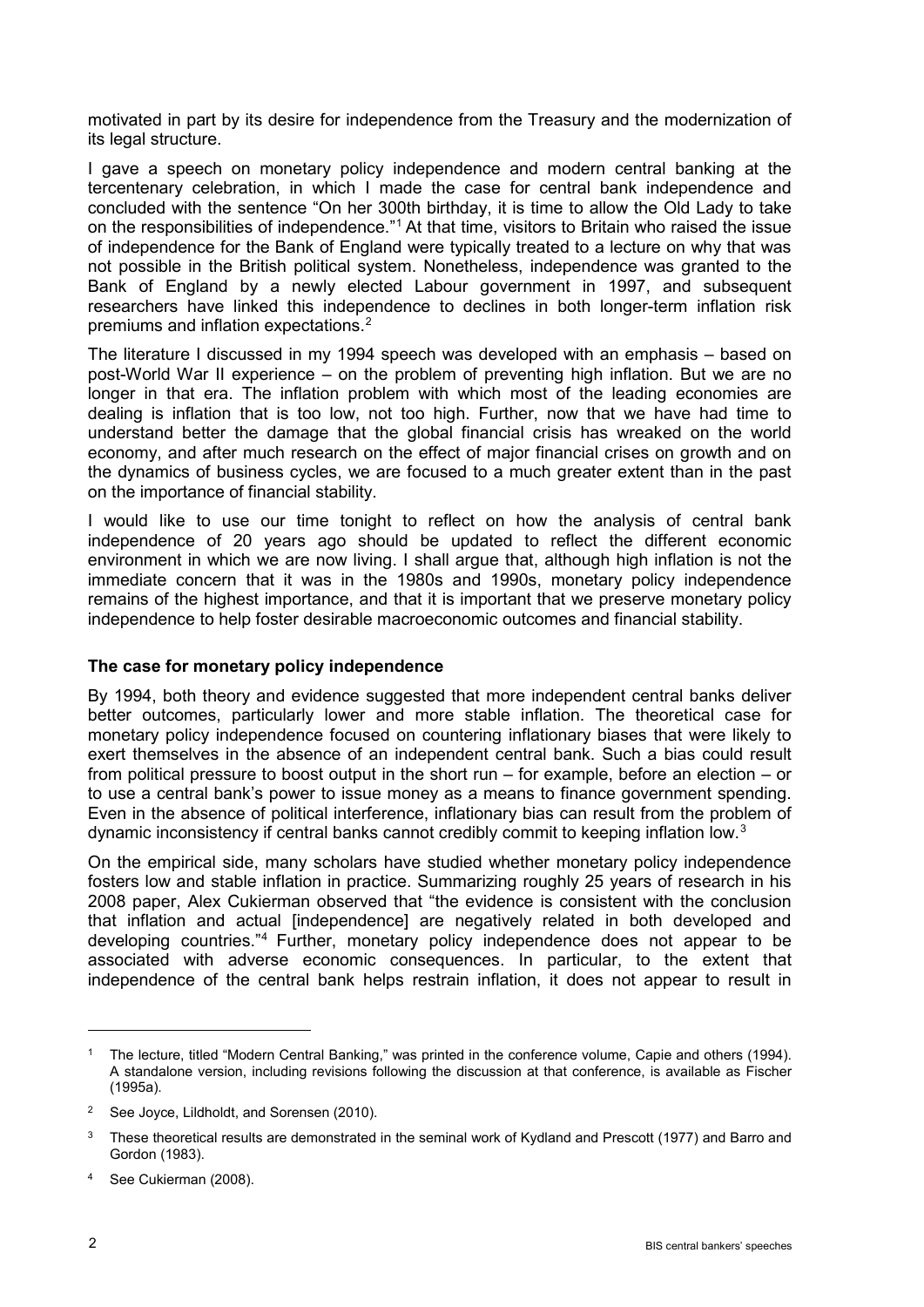motivated in part by its desire for independence from the Treasury and the modernization of its legal structure.

I gave a speech on monetary policy independence and modern central banking at the tercentenary celebration, in which I made the case for central bank independence and concluded with the sentence "On her 300th birthday, it is time to allow the Old Lady to take on the responsibilities of independence."[1](#page-1-0) At that time, visitors to Britain who raised the issue of independence for the Bank of England were typically treated to a lecture on why that was not possible in the British political system. Nonetheless, independence was granted to the Bank of England by a newly elected Labour government in 1997, and subsequent researchers have linked this independence to declines in both longer-term inflation risk premiums and inflation expectations.[2](#page-1-1)

The literature I discussed in my 1994 speech was developed with an emphasis – based on post-World War II experience – on the problem of preventing high inflation. But we are no longer in that era. The inflation problem with which most of the leading economies are dealing is inflation that is too low, not too high. Further, now that we have had time to understand better the damage that the global financial crisis has wreaked on the world economy, and after much research on the effect of major financial crises on growth and on the dynamics of business cycles, we are focused to a much greater extent than in the past on the importance of financial stability.

I would like to use our time tonight to reflect on how the analysis of central bank independence of 20 years ago should be updated to reflect the different economic environment in which we are now living. I shall argue that, although high inflation is not the immediate concern that it was in the 1980s and 1990s, monetary policy independence remains of the highest importance, and that it is important that we preserve monetary policy independence to help foster desirable macroeconomic outcomes and financial stability.

# **The case for monetary policy independence**

By 1994, both theory and evidence suggested that more independent central banks deliver better outcomes, particularly lower and more stable inflation. The theoretical case for monetary policy independence focused on countering inflationary biases that were likely to exert themselves in the absence of an independent central bank. Such a bias could result from political pressure to boost output in the short run – for example, before an election – or to use a central bank's power to issue money as a means to finance government spending. Even in the absence of political interference, inflationary bias can result from the problem of dynamic inconsistency if central banks cannot credibly commit to keeping inflation low.[3](#page-1-2)

On the empirical side, many scholars have studied whether monetary policy independence fosters low and stable inflation in practice. Summarizing roughly 25 years of research in his 2008 paper, Alex Cukierman observed that "the evidence is consistent with the conclusion that inflation and actual [independence] are negatively related in both developed and developing countries."[4](#page-1-3) Further, monetary policy independence does not appear to be associated with adverse economic consequences. In particular, to the extent that independence of the central bank helps restrain inflation, it does not appear to result in

<span id="page-1-0"></span><sup>1</sup> The lecture, titled "Modern Central Banking," was printed in the conference volume, Capie and others (1994). A standalone version, including revisions following the discussion at that conference, is available as Fischer (1995a).

<span id="page-1-1"></span><sup>&</sup>lt;sup>2</sup> See Joyce, Lildholdt, and Sorensen (2010).

<span id="page-1-2"></span><sup>&</sup>lt;sup>3</sup> These theoretical results are demonstrated in the seminal work of Kydland and Prescott (1977) and Barro and Gordon (1983).

<span id="page-1-3"></span><sup>4</sup> See Cukierman (2008).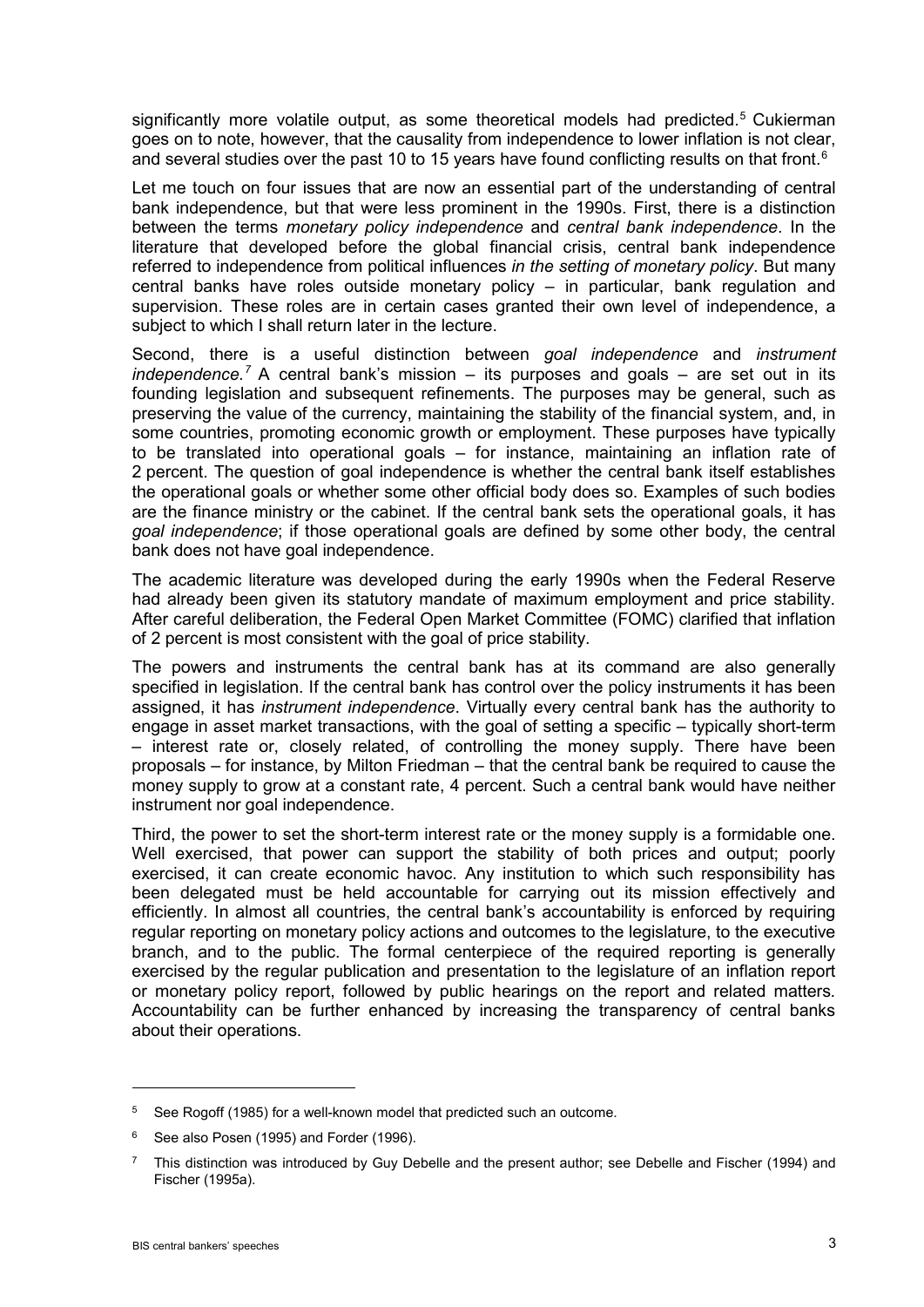significantly more volatile output, as some theoretical models had predicted.<sup>[5](#page-2-0)</sup> Cukierman goes on to note, however, that the causality from independence to lower inflation is not clear, and several studies over the past 10 to 15 years have found conflicting results on that front.<sup>[6](#page-2-1)</sup>

Let me touch on four issues that are now an essential part of the understanding of central bank independence, but that were less prominent in the 1990s. First, there is a distinction between the terms *monetary policy independence* and *central bank independence*. In the literature that developed before the global financial crisis, central bank independence referred to independence from political influences *in the setting of monetary policy*. But many central banks have roles outside monetary policy – in particular, bank regulation and supervision. These roles are in certain cases granted their own level of independence, a subject to which I shall return later in the lecture.

Second, there is a useful distinction between *goal independence* and *instrument independence.[7](#page-2-2)* A central bank's mission – its purposes and goals – are set out in its founding legislation and subsequent refinements. The purposes may be general, such as preserving the value of the currency, maintaining the stability of the financial system, and, in some countries, promoting economic growth or employment. These purposes have typically to be translated into operational goals – for instance, maintaining an inflation rate of 2 percent. The question of goal independence is whether the central bank itself establishes the operational goals or whether some other official body does so. Examples of such bodies are the finance ministry or the cabinet. If the central bank sets the operational goals, it has *goal independence*; if those operational goals are defined by some other body, the central bank does not have goal independence.

The academic literature was developed during the early 1990s when the Federal Reserve had already been given its statutory mandate of maximum employment and price stability. After careful deliberation, the Federal Open Market Committee (FOMC) clarified that inflation of 2 percent is most consistent with the goal of price stability.

The powers and instruments the central bank has at its command are also generally specified in legislation. If the central bank has control over the policy instruments it has been assigned, it has *instrument independence*. Virtually every central bank has the authority to engage in asset market transactions, with the goal of setting a specific – typically short-term – interest rate or, closely related, of controlling the money supply. There have been proposals – for instance, by Milton Friedman – that the central bank be required to cause the money supply to grow at a constant rate, 4 percent. Such a central bank would have neither instrument nor goal independence.

Third, the power to set the short-term interest rate or the money supply is a formidable one. Well exercised, that power can support the stability of both prices and output; poorly exercised, it can create economic havoc. Any institution to which such responsibility has been delegated must be held accountable for carrying out its mission effectively and efficiently. In almost all countries, the central bank's accountability is enforced by requiring regular reporting on monetary policy actions and outcomes to the legislature, to the executive branch, and to the public. The formal centerpiece of the required reporting is generally exercised by the regular publication and presentation to the legislature of an inflation report or monetary policy report, followed by public hearings on the report and related matters*.*  Accountability can be further enhanced by increasing the transparency of central banks about their operations.

<span id="page-2-0"></span><sup>&</sup>lt;sup>5</sup> See Rogoff (1985) for a well-known model that predicted such an outcome.

<span id="page-2-1"></span><sup>&</sup>lt;sup>6</sup> See also Posen (1995) and Forder (1996).

<span id="page-2-2"></span> $7$  This distinction was introduced by Guy Debelle and the present author; see Debelle and Fischer (1994) and Fischer (1995a).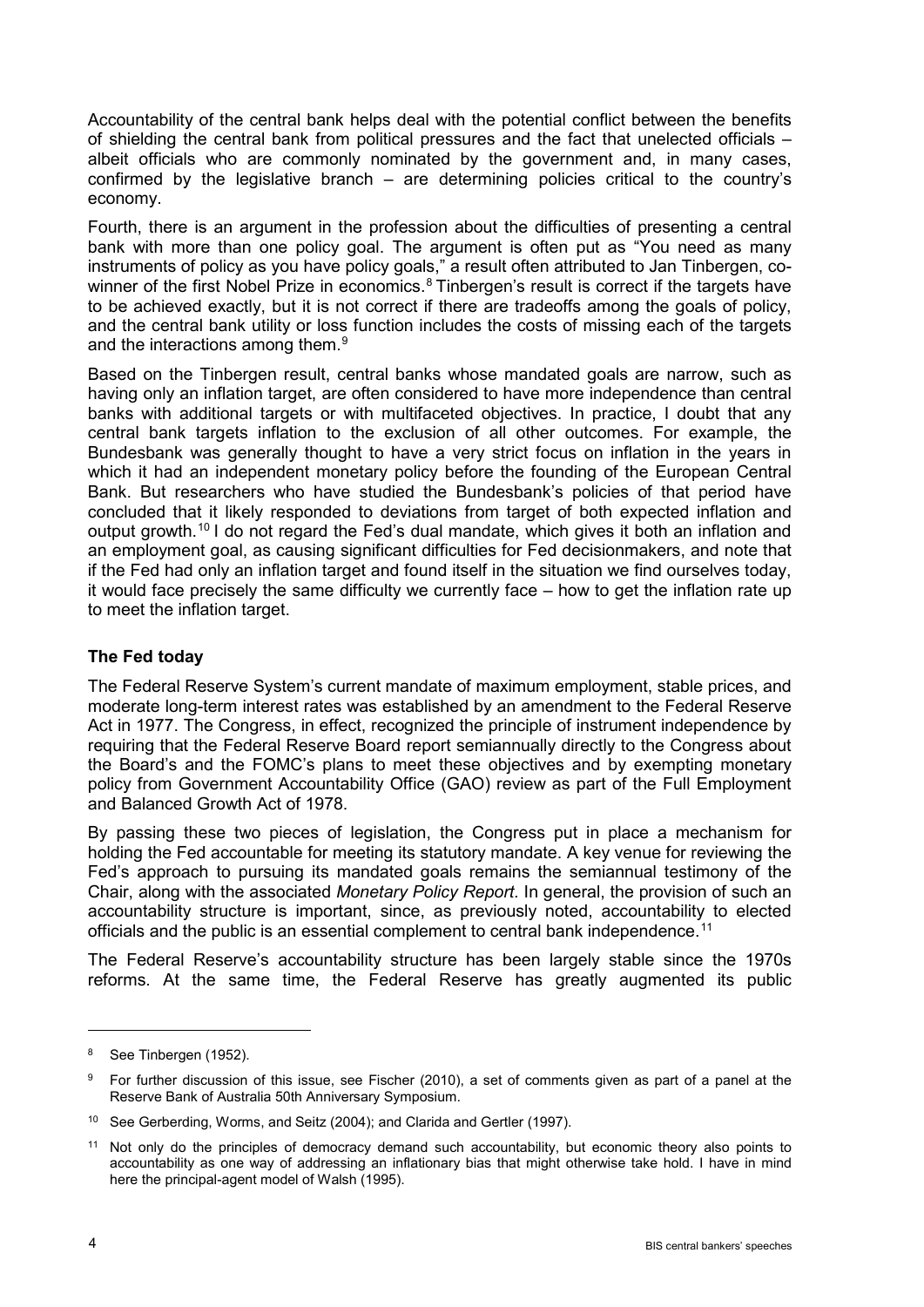Accountability of the central bank helps deal with the potential conflict between the benefits of shielding the central bank from political pressures and the fact that unelected officials – albeit officials who are commonly nominated by the government and, in many cases, confirmed by the legislative branch  $-$  are determining policies critical to the country's economy.

Fourth, there is an argument in the profession about the difficulties of presenting a central bank with more than one policy goal. The argument is often put as "You need as many instruments of policy as you have policy goals," a result often attributed to Jan Tinbergen, co-winner of the first Nobel Prize in economics.<sup>[8](#page-3-0)</sup> Tinbergen's result is correct if the targets have to be achieved exactly, but it is not correct if there are tradeoffs among the goals of policy, and the central bank utility or loss function includes the costs of missing each of the targets and the interactions among them.<sup>9</sup>

Based on the Tinbergen result, central banks whose mandated goals are narrow, such as having only an inflation target, are often considered to have more independence than central banks with additional targets or with multifaceted objectives. In practice, I doubt that any central bank targets inflation to the exclusion of all other outcomes. For example, the Bundesbank was generally thought to have a very strict focus on inflation in the years in which it had an independent monetary policy before the founding of the European Central Bank. But researchers who have studied the Bundesbank's policies of that period have concluded that it likely responded to deviations from target of both expected inflation and output growth.<sup>[10](#page-3-2)</sup> I do not regard the Fed's dual mandate, which gives it both an inflation and an employment goal, as causing significant difficulties for Fed decisionmakers, and note that if the Fed had only an inflation target and found itself in the situation we find ourselves today, it would face precisely the same difficulty we currently face – how to get the inflation rate up to meet the inflation target.

# **The Fed today**

The Federal Reserve System's current mandate of maximum employment, stable prices, and moderate long-term interest rates was established by an amendment to the Federal Reserve Act in 1977. The Congress, in effect, recognized the principle of instrument independence by requiring that the Federal Reserve Board report semiannually directly to the Congress about the Board's and the FOMC's plans to meet these objectives and by exempting monetary policy from Government Accountability Office (GAO) review as part of the Full Employment and Balanced Growth Act of 1978.

By passing these two pieces of legislation, the Congress put in place a mechanism for holding the Fed accountable for meeting its statutory mandate. A key venue for reviewing the Fed's approach to pursuing its mandated goals remains the semiannual testimony of the Chair, along with the associated *Monetary Policy Report.* In general, the provision of such an accountability structure is important, since, as previously noted, accountability to elected officials and the public is an essential complement to central bank independence.<sup>[11](#page-3-3)</sup>

The Federal Reserve's accountability structure has been largely stable since the 1970s reforms. At the same time, the Federal Reserve has greatly augmented its public

<span id="page-3-0"></span><sup>&</sup>lt;sup>8</sup> See Tinbergen (1952).

<span id="page-3-1"></span><sup>&</sup>lt;sup>9</sup> For further discussion of this issue, see Fischer (2010), a set of comments given as part of a panel at the Reserve Bank of Australia 50th Anniversary Symposium.

<span id="page-3-2"></span><sup>&</sup>lt;sup>10</sup> See Gerberding, Worms, and Seitz (2004); and Clarida and Gertler (1997).

<span id="page-3-3"></span>Not only do the principles of democracy demand such accountability, but economic theory also points to accountability as one way of addressing an inflationary bias that might otherwise take hold. I have in mind here the principal-agent model of Walsh (1995).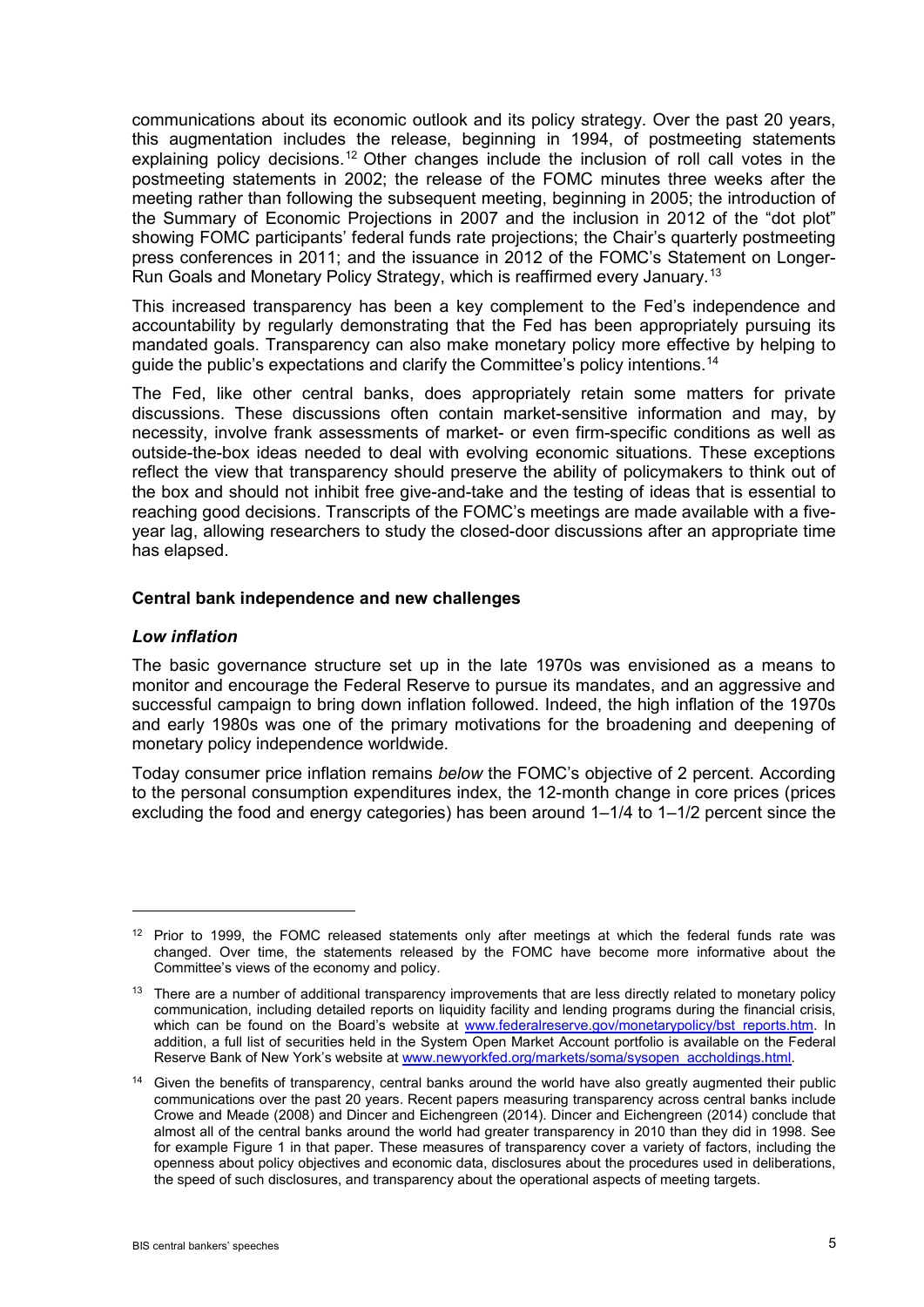communications about its economic outlook and its policy strategy. Over the past 20 years, this augmentation includes the release, beginning in 1994, of postmeeting statements explaining policy decisions.<sup>[12](#page-4-0)</sup> Other changes include the inclusion of roll call votes in the postmeeting statements in 2002; the release of the FOMC minutes three weeks after the meeting rather than following the subsequent meeting, beginning in 2005; the introduction of the Summary of Economic Projections in 2007 and the inclusion in 2012 of the "dot plot" showing FOMC participants' federal funds rate projections; the Chair's quarterly postmeeting press conferences in 2011; and the issuance in 2012 of the FOMC's Statement on Longer-Run Goals and Monetary Policy Strategy, which is reaffirmed every January.[13](#page-4-1)

This increased transparency has been a key complement to the Fed's independence and accountability by regularly demonstrating that the Fed has been appropriately pursuing its mandated goals. Transparency can also make monetary policy more effective by helping to guide the public's expectations and clarify the Committee's policy intentions.[14](#page-4-2)

The Fed, like other central banks, does appropriately retain some matters for private discussions. These discussions often contain market-sensitive information and may, by necessity, involve frank assessments of market- or even firm-specific conditions as well as outside-the-box ideas needed to deal with evolving economic situations. These exceptions reflect the view that transparency should preserve the ability of policymakers to think out of the box and should not inhibit free give-and-take and the testing of ideas that is essential to reaching good decisions. Transcripts of the FOMC's meetings are made available with a fiveyear lag, allowing researchers to study the closed-door discussions after an appropriate time has elapsed.

#### **Central bank independence and new challenges**

### *Low inflation*

1

The basic governance structure set up in the late 1970s was envisioned as a means to monitor and encourage the Federal Reserve to pursue its mandates, and an aggressive and successful campaign to bring down inflation followed. Indeed, the high inflation of the 1970s and early 1980s was one of the primary motivations for the broadening and deepening of monetary policy independence worldwide.

Today consumer price inflation remains *below* the FOMC's objective of 2 percent. According to the personal consumption expenditures index, the 12-month change in core prices (prices excluding the food and energy categories) has been around 1–1/4 to 1–1/2 percent since the

<span id="page-4-0"></span> $12$  Prior to 1999, the FOMC released statements only after meetings at which the federal funds rate was changed. Over time, the statements released by the FOMC have become more informative about the Committee's views of the economy and policy.

<span id="page-4-1"></span><sup>&</sup>lt;sup>13</sup> There are a number of additional transparency improvements that are less directly related to monetary policy communication, including detailed reports on liquidity facility and lending programs during the financial crisis, which can be found on the Board's website at [www.federalreserve.gov/monetarypolicy/bst\\_reports.htm.](http://www.federalreserve.gov/monetarypolicy/bst_reports.htm) In addition, a full list of securities held in the System Open Market Account portfolio is available on the Federal Reserve Bank of New York's website at [www.newyorkfed.org/markets/soma/sysopen\\_accholdings.html.](http://www.newyorkfed.org/markets/soma/sysopen_accholdings.html)

<span id="page-4-2"></span><sup>&</sup>lt;sup>14</sup> Given the benefits of transparency, central banks around the world have also greatly augmented their public communications over the past 20 years. Recent papers measuring transparency across central banks include Crowe and Meade (2008) and Dincer and Eichengreen (2014). Dincer and Eichengreen (2014) conclude that almost all of the central banks around the world had greater transparency in 2010 than they did in 1998. See for example Figure 1 in that paper. These measures of transparency cover a variety of factors, including the openness about policy objectives and economic data, disclosures about the procedures used in deliberations, the speed of such disclosures, and transparency about the operational aspects of meeting targets.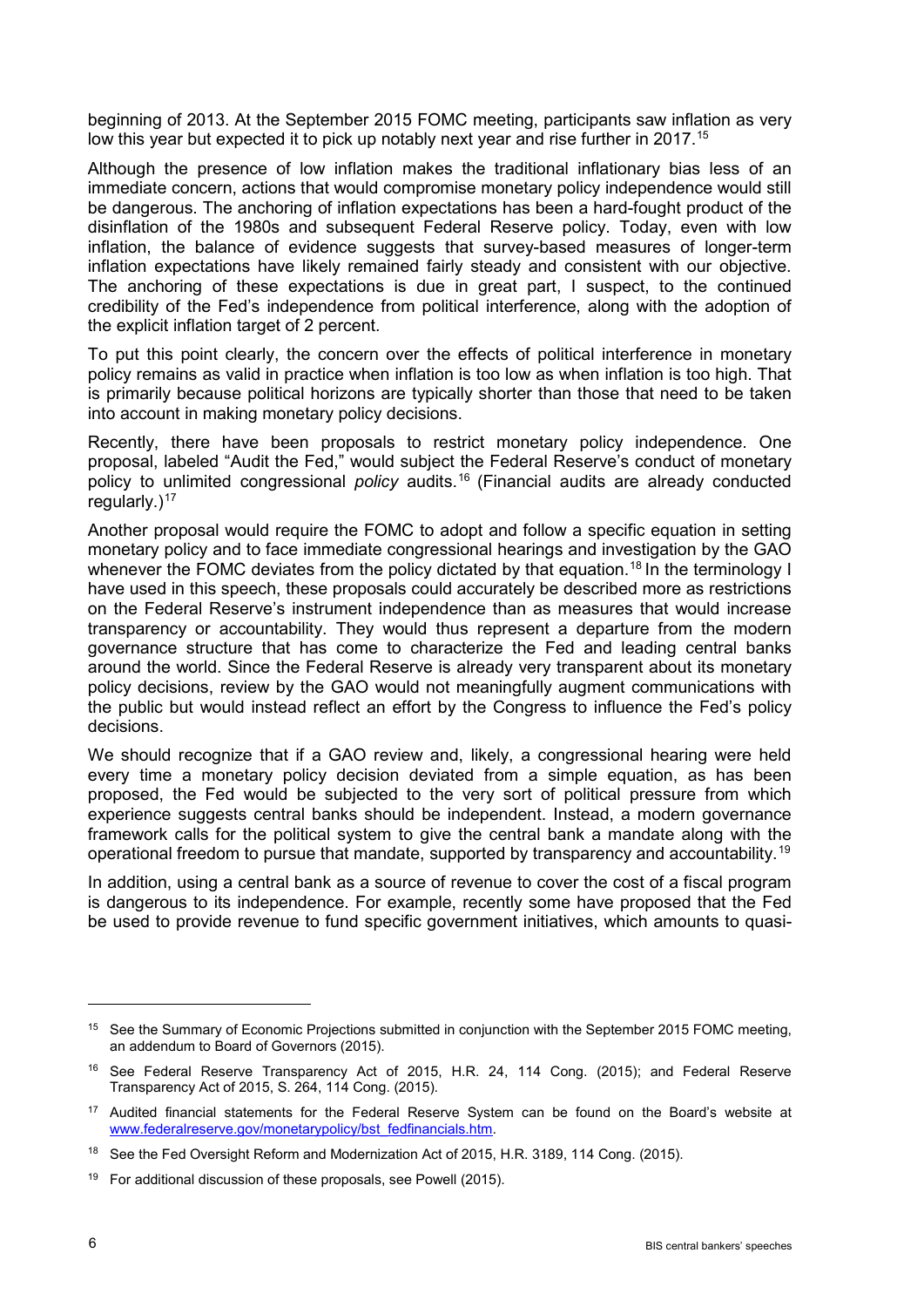beginning of 2013. At the September 2015 FOMC meeting, participants saw inflation as very low this year but expected it to pick up notably next year and rise further in 2017.<sup>[15](#page-5-0)</sup>

Although the presence of low inflation makes the traditional inflationary bias less of an immediate concern, actions that would compromise monetary policy independence would still be dangerous. The anchoring of inflation expectations has been a hard-fought product of the disinflation of the 1980s and subsequent Federal Reserve policy. Today, even with low inflation, the balance of evidence suggests that survey-based measures of longer-term inflation expectations have likely remained fairly steady and consistent with our objective. The anchoring of these expectations is due in great part, I suspect, to the continued credibility of the Fed's independence from political interference, along with the adoption of the explicit inflation target of 2 percent.

To put this point clearly, the concern over the effects of political interference in monetary policy remains as valid in practice when inflation is too low as when inflation is too high. That is primarily because political horizons are typically shorter than those that need to be taken into account in making monetary policy decisions.

Recently, there have been proposals to restrict monetary policy independence. One proposal, labeled "Audit the Fed," would subject the Federal Reserve's conduct of monetary policy to unlimited congressional *policy* audits.[16](#page-5-1) (Financial audits are already conducted regularly. $)^{17}$  $)^{17}$  $)^{17}$ 

Another proposal would require the FOMC to adopt and follow a specific equation in setting monetary policy and to face immediate congressional hearings and investigation by the GAO whenever the FOMC deviates from the policy dictated by that equation.<sup>[18](#page-5-3)</sup> In the terminology I have used in this speech, these proposals could accurately be described more as restrictions on the Federal Reserve's instrument independence than as measures that would increase transparency or accountability. They would thus represent a departure from the modern governance structure that has come to characterize the Fed and leading central banks around the world. Since the Federal Reserve is already very transparent about its monetary policy decisions, review by the GAO would not meaningfully augment communications with the public but would instead reflect an effort by the Congress to influence the Fed's policy decisions.

We should recognize that if a GAO review and, likely, a congressional hearing were held every time a monetary policy decision deviated from a simple equation, as has been proposed, the Fed would be subjected to the very sort of political pressure from which experience suggests central banks should be independent. Instead, a modern governance framework calls for the political system to give the central bank a mandate along with the operational freedom to pursue that mandate, supported by transparency and accountability.[19](#page-5-4)

In addition, using a central bank as a source of revenue to cover the cost of a fiscal program is dangerous to its independence. For example, recently some have proposed that the Fed be used to provide revenue to fund specific government initiatives, which amounts to quasi-

<span id="page-5-0"></span><sup>&</sup>lt;sup>15</sup> See the Summary of Economic Projections submitted in conjunction with the September 2015 FOMC meeting, an addendum to Board of Governors (2015).

<span id="page-5-1"></span><sup>16</sup> See Federal Reserve Transparency Act of 2015, H.R. 24, 114 Cong. (2015); and Federal Reserve Transparency Act of 2015, S. 264, 114 Cong. (2015).

<span id="page-5-2"></span><sup>&</sup>lt;sup>17</sup> Audited financial statements for the Federal Reserve System can be found on the Board's website at [www.federalreserve.gov/monetarypolicy/bst\\_fedfinancials.htm.](http://www.federalreserve.gov/monetarypolicy/bst_fedfinancials.htm)

<span id="page-5-3"></span><sup>&</sup>lt;sup>18</sup> See the Fed Oversight Reform and Modernization Act of 2015, H.R. 3189, 114 Cong. (2015).

<span id="page-5-4"></span><sup>&</sup>lt;sup>19</sup> For additional discussion of these proposals, see Powell (2015).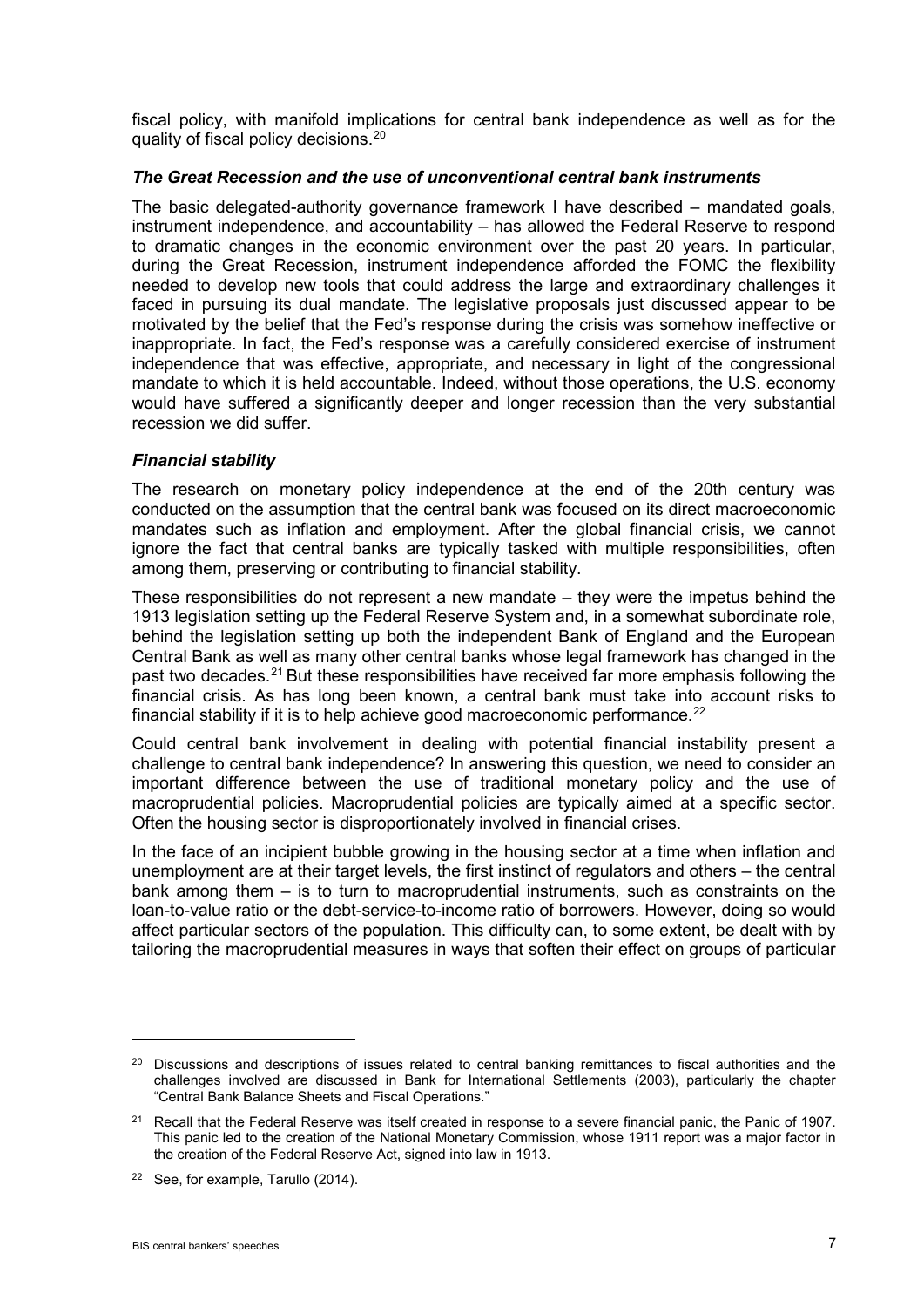fiscal policy, with manifold implications for central bank independence as well as for the quality of fiscal policy decisions.<sup>[20](#page-6-0)</sup>

## *The Great Recession and the use of unconventional central bank instruments*

The basic delegated-authority governance framework I have described – mandated goals, instrument independence, and accountability – has allowed the Federal Reserve to respond to dramatic changes in the economic environment over the past 20 years. In particular, during the Great Recession, instrument independence afforded the FOMC the flexibility needed to develop new tools that could address the large and extraordinary challenges it faced in pursuing its dual mandate. The legislative proposals just discussed appear to be motivated by the belief that the Fed's response during the crisis was somehow ineffective or inappropriate. In fact, the Fed's response was a carefully considered exercise of instrument independence that was effective, appropriate, and necessary in light of the congressional mandate to which it is held accountable. Indeed, without those operations, the U.S. economy would have suffered a significantly deeper and longer recession than the very substantial recession we did suffer.

### *Financial stability*

The research on monetary policy independence at the end of the 20th century was conducted on the assumption that the central bank was focused on its direct macroeconomic mandates such as inflation and employment. After the global financial crisis, we cannot ignore the fact that central banks are typically tasked with multiple responsibilities, often among them, preserving or contributing to financial stability.

These responsibilities do not represent a new mandate – they were the impetus behind the 1913 legislation setting up the Federal Reserve System and, in a somewhat subordinate role, behind the legislation setting up both the independent Bank of England and the European Central Bank as well as many other central banks whose legal framework has changed in the past two decades.<sup>[21](#page-6-1)</sup> But these responsibilities have received far more emphasis following the financial crisis. As has long been known, a central bank must take into account risks to financial stability if it is to help achieve good macroeconomic performance.<sup>[22](#page-6-2)</sup>

Could central bank involvement in dealing with potential financial instability present a challenge to central bank independence? In answering this question, we need to consider an important difference between the use of traditional monetary policy and the use of macroprudential policies. Macroprudential policies are typically aimed at a specific sector. Often the housing sector is disproportionately involved in financial crises.

In the face of an incipient bubble growing in the housing sector at a time when inflation and unemployment are at their target levels, the first instinct of regulators and others – the central bank among them – is to turn to macroprudential instruments, such as constraints on the loan-to-value ratio or the debt-service-to-income ratio of borrowers. However, doing so would affect particular sectors of the population. This difficulty can, to some extent, be dealt with by tailoring the macroprudential measures in ways that soften their effect on groups of particular

<span id="page-6-0"></span><sup>&</sup>lt;sup>20</sup> Discussions and descriptions of issues related to central banking remittances to fiscal authorities and the challenges involved are discussed in Bank for International Settlements (2003), particularly the chapter "Central Bank Balance Sheets and Fiscal Operations."

<span id="page-6-1"></span><sup>&</sup>lt;sup>21</sup> Recall that the Federal Reserve was itself created in response to a severe financial panic, the Panic of 1907. This panic led to the creation of the National Monetary Commission, whose 1911 report was a major factor in the creation of the Federal Reserve Act, signed into law in 1913.

<span id="page-6-2"></span><sup>&</sup>lt;sup>22</sup> See, for example, Tarullo (2014).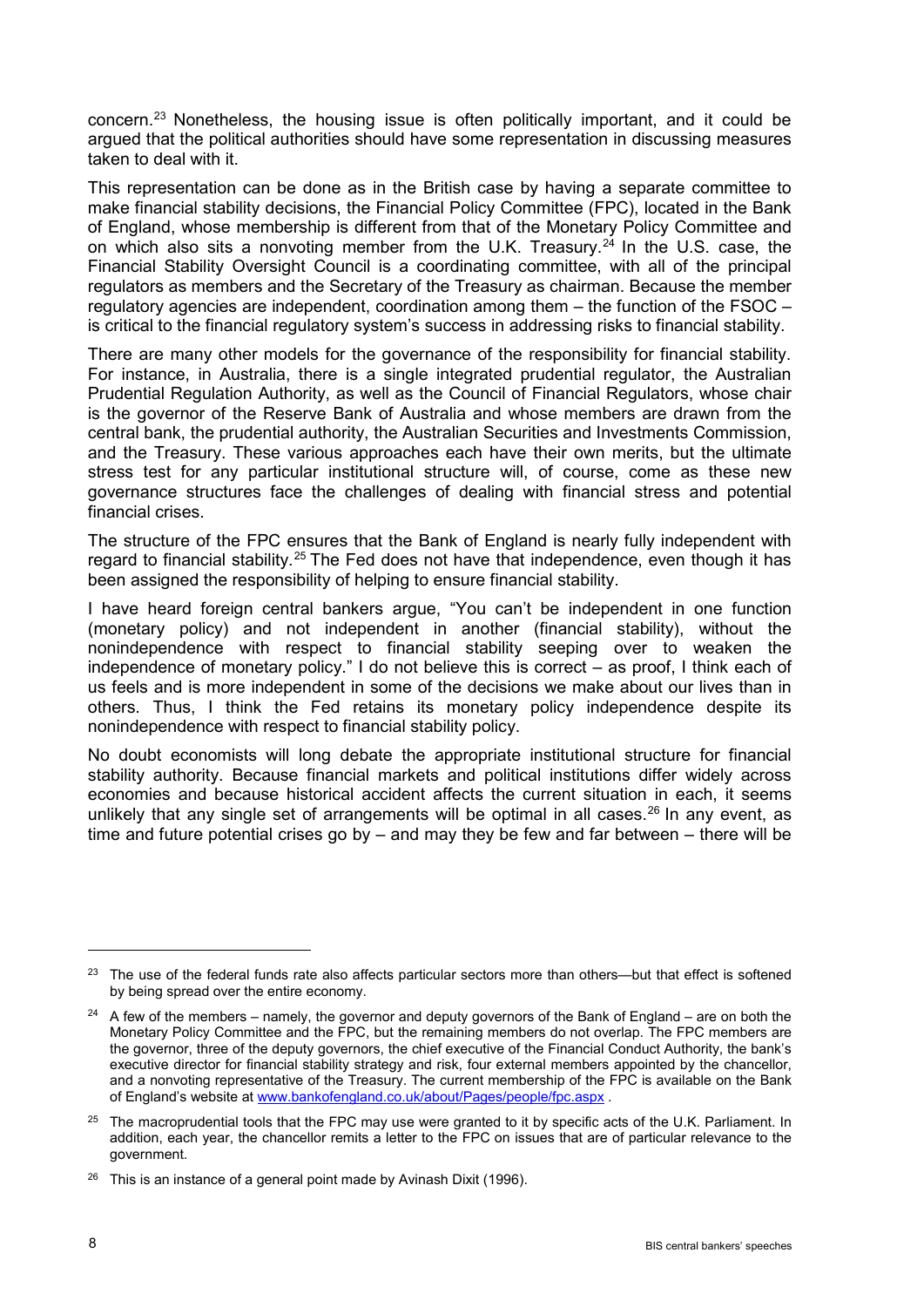concern.[23](#page-7-0) Nonetheless, the housing issue is often politically important, and it could be argued that the political authorities should have some representation in discussing measures taken to deal with it.

This representation can be done as in the British case by having a separate committee to make financial stability decisions, the Financial Policy Committee (FPC), located in the Bank of England, whose membership is different from that of the Monetary Policy Committee and on which also sits a nonvoting member from the U.K. Treasury.<sup>[24](#page-7-1)</sup> In the U.S. case, the Financial Stability Oversight Council is a coordinating committee, with all of the principal regulators as members and the Secretary of the Treasury as chairman. Because the member regulatory agencies are independent, coordination among them – the function of the FSOC – is critical to the financial regulatory system's success in addressing risks to financial stability.

There are many other models for the governance of the responsibility for financial stability. For instance, in Australia, there is a single integrated prudential regulator, the Australian Prudential Regulation Authority, as well as the Council of Financial Regulators, whose chair is the governor of the Reserve Bank of Australia and whose members are drawn from the central bank, the prudential authority, the Australian Securities and Investments Commission, and the Treasury. These various approaches each have their own merits, but the ultimate stress test for any particular institutional structure will, of course, come as these new governance structures face the challenges of dealing with financial stress and potential financial crises.

The structure of the FPC ensures that the Bank of England is nearly fully independent with regard to financial stability.<sup>[25](#page-7-2)</sup> The Fed does not have that independence, even though it has been assigned the responsibility of helping to ensure financial stability.

I have heard foreign central bankers argue, "You can't be independent in one function (monetary policy) and not independent in another (financial stability), without the nonindependence with respect to financial stability seeping over to weaken the independence of monetary policy." I do not believe this is correct – as proof, I think each of us feels and is more independent in some of the decisions we make about our lives than in others. Thus, I think the Fed retains its monetary policy independence despite its nonindependence with respect to financial stability policy.

No doubt economists will long debate the appropriate institutional structure for financial stability authority. Because financial markets and political institutions differ widely across economies and because historical accident affects the current situation in each, it seems unlikely that any single set of arrangements will be optimal in all cases.<sup>[26](#page-7-3)</sup> In any event, as time and future potential crises go by – and may they be few and far between – there will be

<span id="page-7-0"></span><sup>&</sup>lt;sup>23</sup> The use of the federal funds rate also affects particular sectors more than others—but that effect is softened by being spread over the entire economy.

<span id="page-7-1"></span> $24$  A few of the members – namely, the governor and deputy governors of the Bank of England – are on both the Monetary Policy Committee and the FPC, but the remaining members do not overlap. The FPC members are the governor, three of the deputy governors, the chief executive of the Financial Conduct Authority, the bank's executive director for financial stability strategy and risk, four external members appointed by the chancellor, and a nonvoting representative of the Treasury. The current membership of the FPC is available on the Bank of England's website at [www.bankofengland.co.uk/about/Pages/people/fpc.aspx](http://www.bankofengland.co.uk/about/Pages/people/fpc.aspx) .

<span id="page-7-2"></span><sup>&</sup>lt;sup>25</sup> The macroprudential tools that the FPC may use were granted to it by specific acts of the U.K. Parliament. In addition, each year, the chancellor remits a letter to the FPC on issues that are of particular relevance to the government.

<span id="page-7-3"></span><sup>&</sup>lt;sup>26</sup> This is an instance of a general point made by Avinash Dixit (1996).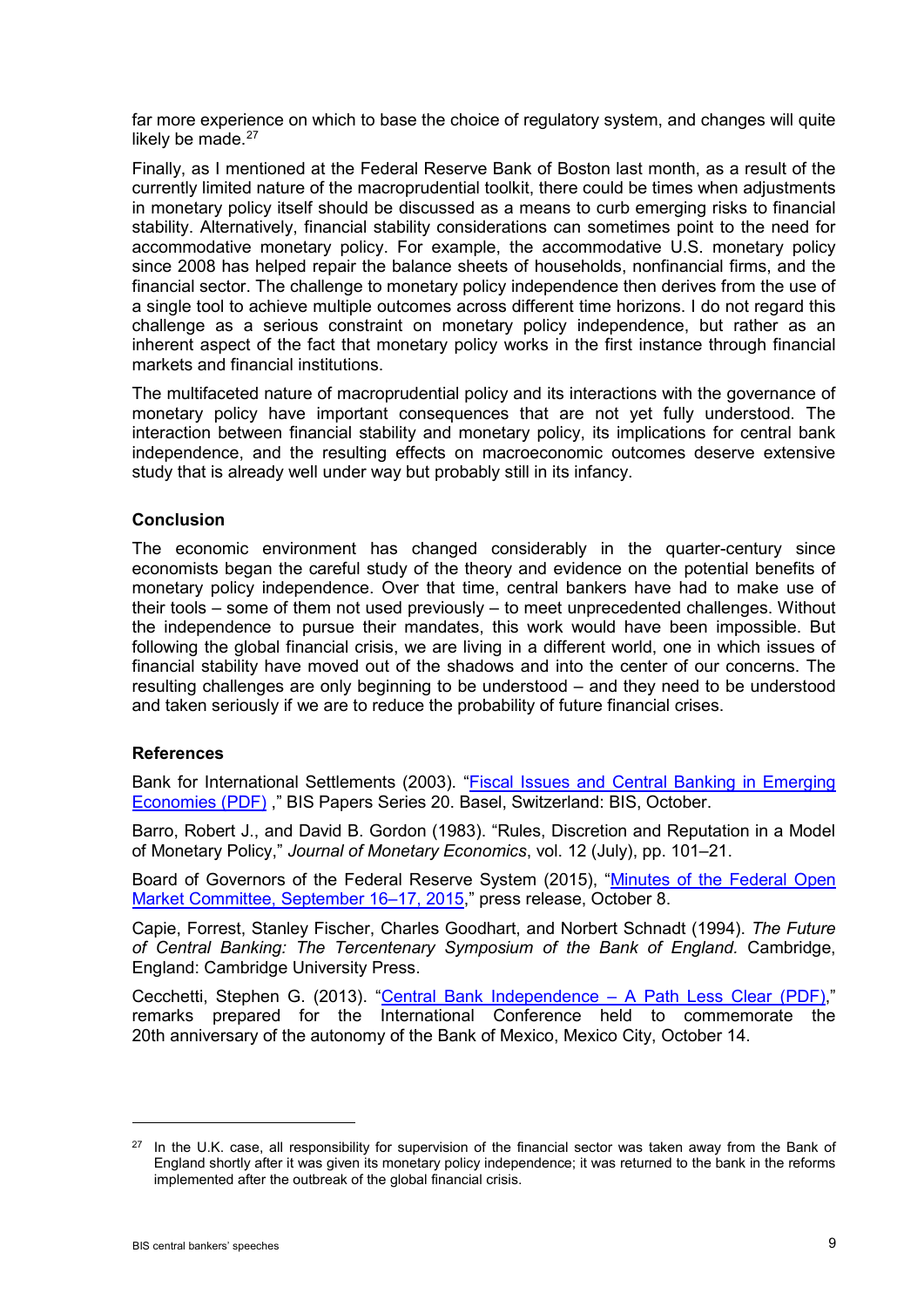far more experience on which to base the choice of regulatory system, and changes will quite likely be made. $27$ 

Finally, as I mentioned at the Federal Reserve Bank of Boston last month, as a result of the currently limited nature of the macroprudential toolkit, there could be times when adjustments in monetary policy itself should be discussed as a means to curb emerging risks to financial stability. Alternatively, financial stability considerations can sometimes point to the need for accommodative monetary policy. For example, the accommodative U.S. monetary policy since 2008 has helped repair the balance sheets of households, nonfinancial firms, and the financial sector. The challenge to monetary policy independence then derives from the use of a single tool to achieve multiple outcomes across different time horizons. I do not regard this challenge as a serious constraint on monetary policy independence, but rather as an inherent aspect of the fact that monetary policy works in the first instance through financial markets and financial institutions.

The multifaceted nature of macroprudential policy and its interactions with the governance of monetary policy have important consequences that are not yet fully understood. The interaction between financial stability and monetary policy, its implications for central bank independence, and the resulting effects on macroeconomic outcomes deserve extensive study that is already well under way but probably still in its infancy.

### **Conclusion**

The economic environment has changed considerably in the quarter-century since economists began the careful study of the theory and evidence on the potential benefits of monetary policy independence. Over that time, central bankers have had to make use of their tools – some of them not used previously – to meet unprecedented challenges. Without the independence to pursue their mandates, this work would have been impossible. But following the global financial crisis, we are living in a different world, one in which issues of financial stability have moved out of the shadows and into the center of our concerns. The resulting challenges are only beginning to be understood – and they need to be understood and taken seriously if we are to reduce the probability of future financial crises.

#### **References**

Bank for International Settlements (2003). ["Fiscal Issues and Central Banking in Emerging](http://www.bis.org/publ/bppdf/bispap20.pdf)  [Economies \(PDF\)](http://www.bis.org/publ/bppdf/bispap20.pdf) ," BIS Papers Series 20. Basel, Switzerland: BIS, October.

Barro, Robert J., and David B. Gordon (1983). "Rules, Discretion and Reputation in a Model of Monetary Policy," *Journal of Monetary Economics*, vol. 12 (July), pp. 101–21.

Board of Governors of the Federal Reserve System (2015), ["Minutes of the Federal Open](http://www.federalreserve.gov/newsevents/press/monetary/20151008a.htm)  [Market Committee, September 16–17, 2015,](http://www.federalreserve.gov/newsevents/press/monetary/20151008a.htm)" press release, October 8.

Capie, Forrest, Stanley Fischer, Charles Goodhart, and Norbert Schnadt (1994). *The Future of Central Banking: The Tercentenary Symposium of the Bank of England.* Cambridge, England: Cambridge University Press.

Cecchetti, Stephen G. (2013). ["Central Bank Independence](http://www.bis.org/speeches/sp131014.pdf) – A Path Less Clear (PDF)," remarks prepared for the International Conference held to commemorate the 20th anniversary of the autonomy of the Bank of Mexico, Mexico City, October 14.

<span id="page-8-0"></span><sup>&</sup>lt;sup>27</sup> In the U.K. case, all responsibility for supervision of the financial sector was taken away from the Bank of England shortly after it was given its monetary policy independence; it was returned to the bank in the reforms implemented after the outbreak of the global financial crisis.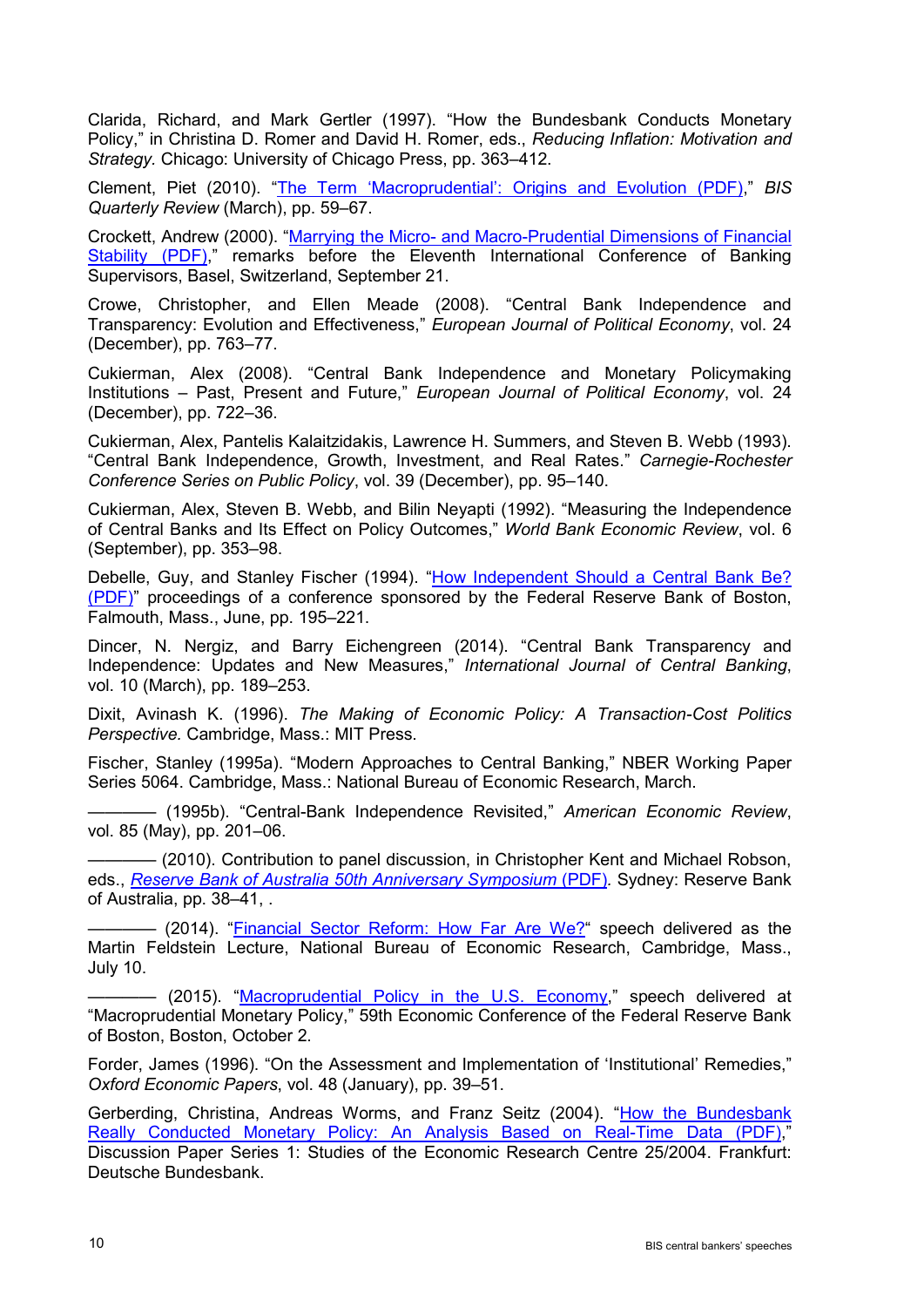Clarida, Richard, and Mark Gertler (1997). "How the Bundesbank Conducts Monetary Policy," in Christina D. Romer and David H. Romer, eds., *Reducing Inflation: Motivation and Strategy.* Chicago: University of Chicago Press, pp. 363–412.

Clement, Piet (2010). ["The Term 'Macroprudential': Origins and Evolution \(PDF\),](http://www.bis.org/publ/qtrpdf/r_qt1003h.pdf)" *BIS Quarterly Review* (March), pp. 59–67.

Crockett, Andrew (2000). "Marrying the Micro- [and Macro-Prudential Dimensions of Financial](http://www.bis.org/review/rr000921b.pdf)  [Stability \(PDF\),](http://www.bis.org/review/rr000921b.pdf)" remarks before the Eleventh International Conference of Banking Supervisors, Basel, Switzerland, September 21.

Crowe, Christopher, and Ellen Meade (2008). "Central Bank Independence and Transparency: Evolution and Effectiveness," *European Journal of Political Economy*, vol. 24 (December), pp. 763–77.

Cukierman, Alex (2008). "Central Bank Independence and Monetary Policymaking Institutions – Past, Present and Future," *European Journal of Political Economy*, vol. 24 (December), pp. 722–36.

Cukierman, Alex, Pantelis Kalaitzidakis, Lawrence H. Summers, and Steven B. Webb (1993). "Central Bank Independence, Growth, Investment, and Real Rates." *Carnegie-Rochester Conference Series on Public Policy*, vol. 39 (December), pp. 95–140.

Cukierman, Alex, Steven B. Webb, and Bilin Neyapti (1992). "Measuring the Independence of Central Banks and Its Effect on Policy Outcomes," *World Bank Economic Review*, vol. 6 (September), pp. 353–98.

Debelle, Guy, and Stanley Fischer (1994). ["How Independent Should a Central Bank Be?](http://www.bostonfed.org/economic/conf/conf38/conf38f.pdf)  [\(PDF\)"](http://www.bostonfed.org/economic/conf/conf38/conf38f.pdf) proceedings of a conference sponsored by the Federal Reserve Bank of Boston, Falmouth, Mass., June, pp. 195–221.

Dincer, N. Nergiz, and Barry Eichengreen (2014). "Central Bank Transparency and Independence: Updates and New Measures," *International Journal of Central Banking*, vol. 10 (March), pp. 189–253.

Dixit, Avinash K. (1996). *The Making of Economic Policy: A Transaction-Cost Politics Perspective.* Cambridge, Mass.: MIT Press.

Fischer, Stanley (1995a). "Modern Approaches to Central Banking," NBER Working Paper Series 5064. Cambridge, Mass.: National Bureau of Economic Research, March.

———— (1995b). "Central-Bank Independence Revisited," *American Economic Review*, vol. 85 (May), pp. 201–06.

———— (2010). Contribution to panel discussion, in Christopher Kent and Michael Robson, eds., *[Reserve Bank of Australia 50th Anniversary Symposium](http://www.rba.gov.au/publications/confs/2010/pdf/conf-vol-2010.pdf)* (PDF)*.* Sydney: Reserve Bank of Australia, pp. 38–41, .

———— (2014). ["Financial Sector Reform: How Far Are We?"](http://www.federalreserve.gov/newsevents/speech/fischer20140710a.htm) speech delivered as the Martin Feldstein Lecture, National Bureau of Economic Research, Cambridge, Mass., July 10.

- (2015). ["Macroprudential Policy in the U.S. Economy,](http://www.federalreserve.gov/newsevents/speech/fischer20151002a.htm)" speech delivered at "Macroprudential Monetary Policy," 59th Economic Conference of the Federal Reserve Bank of Boston, Boston, October 2.

Forder, James (1996). "On the Assessment and Implementation of 'Institutional' Remedies," *Oxford Economic Papers*, vol. 48 (January), pp. 39–51.

Gerberding, Christina, Andreas Worms, and Franz Seitz (2004). "How the Bundesbank [Really Conducted Monetary Policy: An Analysis Based on Real-Time Data \(PDF\),](http://www.bundesbank.de/Redaktion/EN/Downloads/Publications/Discussion_Paper_1/2004/2004_09_23_dkp_25.pdf?__blob=publicationFile) Discussion Paper Series 1: Studies of the Economic Research Centre 25/2004. Frankfurt: Deutsche Bundesbank.